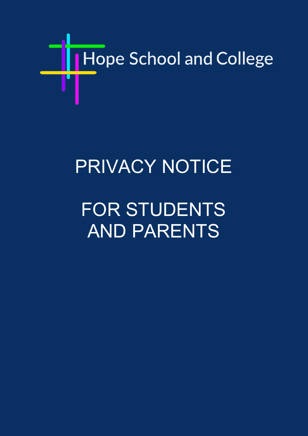

## PRIVACY NOTICE

# FOR STUDENTS AND PARENTS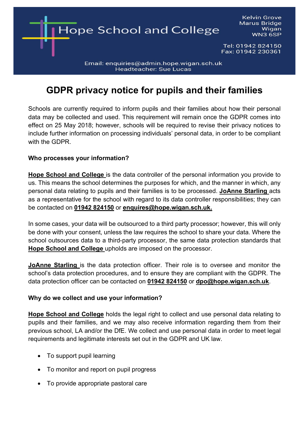

### **GDPR privacy notice for pupils and their families**

Wigan

Schools are currently required to inform pupils and their families about how their personal data may be collected and used. This requirement will remain once the GDPR comes into effect on 25 May 2018; however, schools will be required to revise their privacy notices to include further information on processing individuals' personal data, in order to be compliant with the GDPR.

#### **Who processes your information?**

**Hope School and College** is the data controller of the personal information you provide to us. This means the school determines the purposes for which, and the manner in which, any personal data relating to pupils and their families is to be processed. **JoAnne Starling** acts as a representative for the school with regard to its data controller responsibilities; they can be contacted on **01942 824150** or **enquires@hope.wigan.sch.uk.** 

In some cases, your data will be outsourced to a third party processor; however, this will only be done with your consent, unless the law requires the school to share your data. Where the school outsources data to a third-party processor, the same data protection standards that **Hope School and College** upholds are imposed on the processor.

**JoAnne Starling** is the data protection officer. Their role is to oversee and monitor the school's data protection procedures, and to ensure they are compliant with the GDPR. The data protection officer can be contacted on **01942 824150** or **dpo@hope.wigan.sch.uk**.

#### **Why do we collect and use your information?**

**Hope School and College** holds the legal right to collect and use personal data relating to pupils and their families, and we may also receive information regarding them from their previous school, LA and/or the DfE. We collect and use personal data in order to meet legal requirements and legitimate interests set out in the GDPR and UK law.

- To support pupil learning
- To monitor and report on pupil progress
- To provide appropriate pastoral care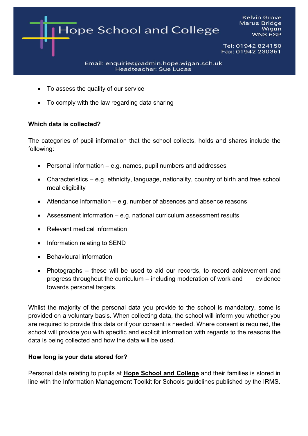

- To assess the quality of our service
- To comply with the law regarding data sharing

#### **Which data is collected?**

The categories of pupil information that the school collects, holds and shares include the following:

- Personal information e.g. names, pupil numbers and addresses
- Characteristics e.g. ethnicity, language, nationality, country of birth and free school meal eligibility
- Attendance information e.g. number of absences and absence reasons
- Assessment information e.g. national curriculum assessment results
- Relevant medical information
- Information relating to SEND
- Behavioural information
- Photographs these will be used to aid our records, to record achievement and progress throughout the curriculum – including moderation of work and evidence towards personal targets.

Whilst the majority of the personal data you provide to the school is mandatory, some is provided on a voluntary basis. When collecting data, the school will inform you whether you are required to provide this data or if your consent is needed. Where consent is required, the school will provide you with specific and explicit information with regards to the reasons the data is being collected and how the data will be used.

#### **How long is your data stored for?**

Personal data relating to pupils at **Hope School and College** and their families is stored in line with the Information Management Toolkit for Schools guidelines published by the IRMS.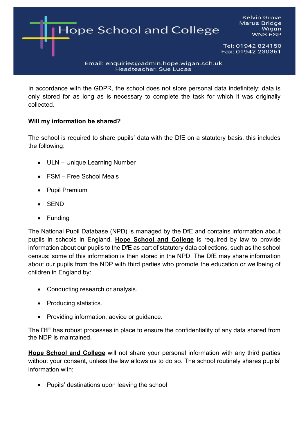

In accordance with the GDPR, the school does not store personal data indefinitely; data is only stored for as long as is necessary to complete the task for which it was originally collected.

#### **Will my information be shared?**

The school is required to share pupils' data with the DfE on a statutory basis, this includes the following:

- ULN Unique Learning Number
- FSM Free School Meals
- Pupil Premium
- SEND
- Funding

The National Pupil Database (NPD) is managed by the DfE and contains information about pupils in schools in England. **Hope School and College** is required by law to provide information about our pupils to the DfE as part of statutory data collections, such as the school census; some of this information is then stored in the NPD. The DfE may share information about our pupils from the NDP with third parties who promote the education or wellbeing of children in England by:

- Conducting research or analysis.
- Producing statistics.
- Providing information, advice or guidance.

The DfE has robust processes in place to ensure the confidentiality of any data shared from the NDP is maintained.

**Hope School and College** will not share your personal information with any third parties without your consent, unless the law allows us to do so. The school routinely shares pupils' information with:

• Pupils' destinations upon leaving the school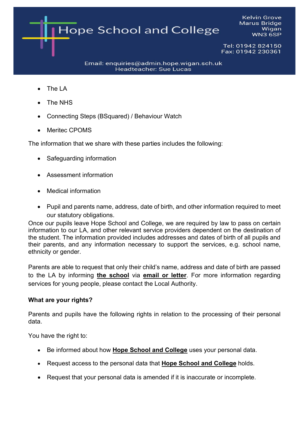**Kelvin Grove Marus Bridge Hope School and College** Wigan **WN3 6SP** Tel: 01942 824150 Fax: 01942 230361

Email: enquiries@admin.hope.wigan.sch.uk **Headteacher: Sue Lucas** 

- The LA
- The NHS
- Connecting Steps (BSquared) / Behaviour Watch
- Meritec CPOMS

The information that we share with these parties includes the following:

- Safeguarding information
- Assessment information
- Medical information
- Pupil and parents name, address, date of birth, and other information required to meet our statutory obligations.

Once our pupils leave Hope School and College, we are required by law to pass on certain information to our LA, and other relevant service providers dependent on the destination of the student. The information provided includes addresses and dates of birth of all pupils and their parents, and any information necessary to support the services, e.g. school name, ethnicity or gender.

Parents are able to request that only their child's name, address and date of birth are passed to the LA by informing **the school** via **email or letter**. For more information regarding services for young people, please contact the Local Authority.

#### **What are your rights?**

Parents and pupils have the following rights in relation to the processing of their personal data.

You have the right to:

- Be informed about how **Hope School and College** uses your personal data.
- Request access to the personal data that **Hope School and College** holds.
- Request that your personal data is amended if it is inaccurate or incomplete.